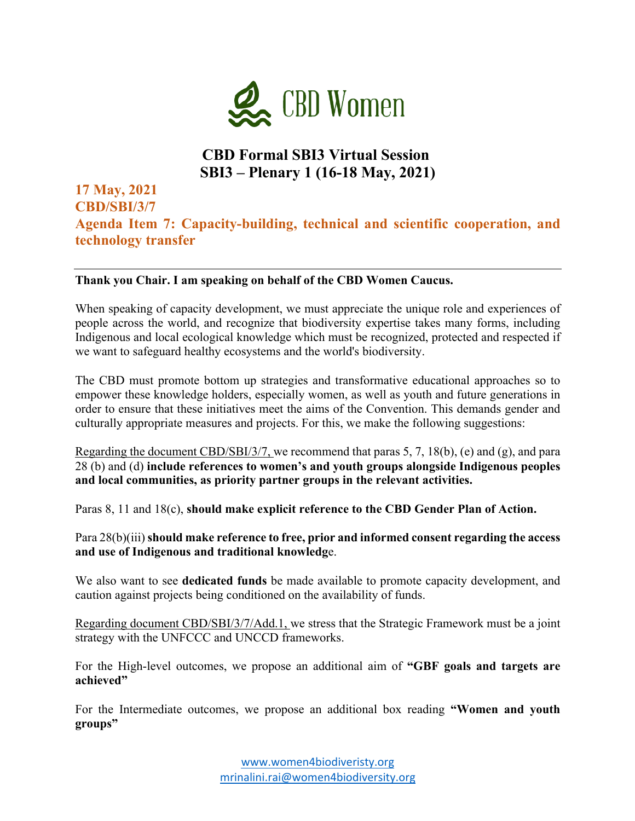

# **CBD Formal SBI3 Virtual Session SBI3 – Plenary 1 (16-18 May, 2021)**

### **17 May, 2021 CBD/SBI/3/7 Agenda Item 7: Capacity-building, technical and scientific cooperation, and technology transfer**

#### **Thank you Chair. I am speaking on behalf of the CBD Women Caucus.**

When speaking of capacity development, we must appreciate the unique role and experiences of people across the world, and recognize that biodiversity expertise takes many forms, including Indigenous and local ecological knowledge which must be recognized, protected and respected if we want to safeguard healthy ecosystems and the world's biodiversity.

The CBD must promote bottom up strategies and transformative educational approaches so to empower these knowledge holders, especially women, as well as youth and future generations in order to ensure that these initiatives meet the aims of the Convention. This demands gender and culturally appropriate measures and projects. For this, we make the following suggestions:

Regarding the document CBD/SBI/3/7, we recommend that paras 5, 7, 18(b), (e) and (g), and para 28 (b) and (d) **include references to women's and youth groups alongside Indigenous peoples and local communities, as priority partner groups in the relevant activities.**

Paras 8, 11 and 18(c), **should make explicit reference to the CBD Gender Plan of Action.**

Para 28(b)(iii) **should make reference to free, prior and informed consent regarding the access and use of Indigenous and traditional knowledg**e.

We also want to see **dedicated funds** be made available to promote capacity development, and caution against projects being conditioned on the availability of funds.

Regarding document CBD/SBI/3/7/Add.1, we stress that the Strategic Framework must be a joint strategy with the UNFCCC and UNCCD frameworks.

For the High-level outcomes, we propose an additional aim of **"GBF goals and targets are achieved"**

For the Intermediate outcomes, we propose an additional box reading **"Women and youth groups"**